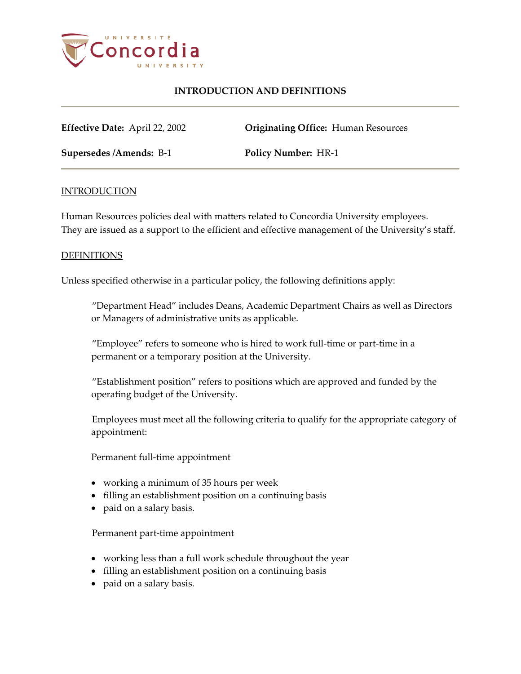

## **INTRODUCTION AND DEFINITIONS**

**Effective Date:** April 22, 2002 **Originating Office:** Human Resources

**Supersedes /Amends:** B-1 **Policy Number:** HR-1

### **INTRODUCTION**

Human Resources policies deal with matters related to Concordia University employees. They are issued as a support to the efficient and effective management of the University's staff.

### DEFINITIONS

Unless specified otherwise in a particular policy, the following definitions apply:

"Department Head" includes Deans, Academic Department Chairs as well as Directors or Managers of administrative units as applicable.

"Employee" refers to someone who is hired to work full-time or part-time in a permanent or a temporary position at the University.

"Establishment position" refers to positions which are approved and funded by the operating budget of the University.

Employees must meet all the following criteria to qualify for the appropriate category of appointment:

Permanent full-time appointment

- working a minimum of 35 hours per week
- filling an establishment position on a continuing basis
- paid on a salary basis.

Permanent part-time appointment

- working less than a full work schedule throughout the year
- filling an establishment position on a continuing basis
- paid on a salary basis.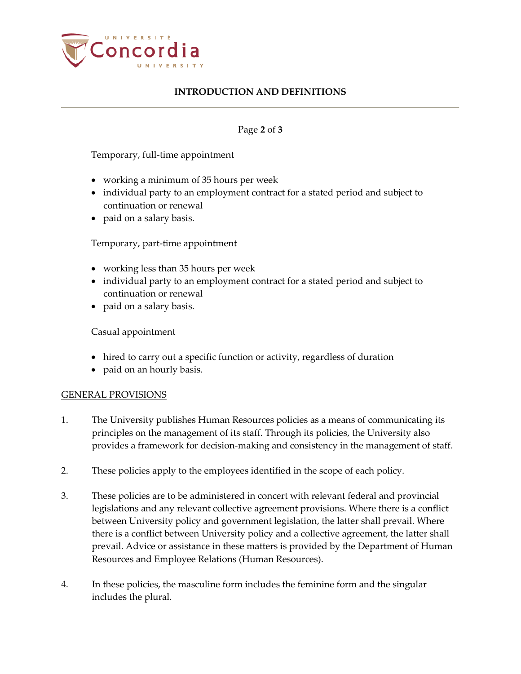

# **INTRODUCTION AND DEFINITIONS**

### Page **2** of **3**

Temporary, full-time appointment

- working a minimum of 35 hours per week
- individual party to an employment contract for a stated period and subject to continuation or renewal
- paid on a salary basis.

Temporary, part-time appointment

- working less than 35 hours per week
- individual party to an employment contract for a stated period and subject to continuation or renewal
- paid on a salary basis.

Casual appointment

- hired to carry out a specific function or activity, regardless of duration
- paid on an hourly basis.

#### GENERAL PROVISIONS

- 1. The University publishes Human Resources policies as a means of communicating its principles on the management of its staff. Through its policies, the University also provides a framework for decision-making and consistency in the management of staff.
- 2. These policies apply to the employees identified in the scope of each policy.
- 3. These policies are to be administered in concert with relevant federal and provincial legislations and any relevant collective agreement provisions. Where there is a conflict between University policy and government legislation, the latter shall prevail. Where there is a conflict between University policy and a collective agreement, the latter shall prevail. Advice or assistance in these matters is provided by the Department of Human Resources and Employee Relations (Human Resources).
- 4. In these policies, the masculine form includes the feminine form and the singular includes the plural.